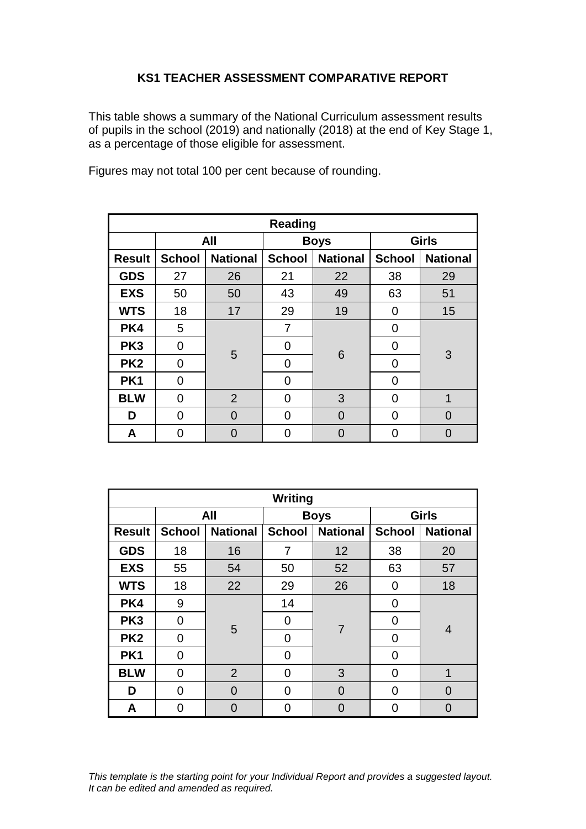## **KS1 TEACHER ASSESSMENT COMPARATIVE REPORT**

This table shows a summary of the National Curriculum assessment results of pupils in the school (2019) and nationally (2018) at the end of Key Stage 1, as a percentage of those eligible for assessment.

Figures may not total 100 per cent because of rounding.

| <b>Reading</b>  |               |                 |               |                 |               |                 |  |  |
|-----------------|---------------|-----------------|---------------|-----------------|---------------|-----------------|--|--|
|                 | All           |                 | <b>Boys</b>   |                 | <b>Girls</b>  |                 |  |  |
| <b>Result</b>   | <b>School</b> | <b>National</b> | <b>School</b> | <b>National</b> | <b>School</b> | <b>National</b> |  |  |
| <b>GDS</b>      | 27            | 26              | 21            | 22              | 38            | 29              |  |  |
| <b>EXS</b>      | 50            | 50              | 43            | 49              | 63            | 51              |  |  |
| <b>WTS</b>      | 18            | 17              | 29            | 19              | 0             | 15              |  |  |
| PK4             | 5             |                 | 7             | 6               | 0             | 3               |  |  |
| PK <sub>3</sub> | 0             | 5               | 0             |                 | 0             |                 |  |  |
| PK <sub>2</sub> | 0             |                 | 0             |                 | 0             |                 |  |  |
| PK <sub>1</sub> | $\Omega$      |                 | 0             |                 | 0             |                 |  |  |
| <b>BLW</b>      | 0             | $\overline{2}$  | 0             | 3               | 0             | 1               |  |  |
| D               | 0             | 0               | 0             | 0               | 0             | O               |  |  |
| A               | በ             | O               | 0             |                 | O             |                 |  |  |

| Writing         |                |                 |               |                 |               |                 |  |
|-----------------|----------------|-----------------|---------------|-----------------|---------------|-----------------|--|
|                 | All            |                 | <b>Boys</b>   |                 | <b>Girls</b>  |                 |  |
| <b>Result</b>   | <b>School</b>  | <b>National</b> | <b>School</b> | <b>National</b> | <b>School</b> | <b>National</b> |  |
| <b>GDS</b>      | 18             | 16              | 7             | 12              | 38            | 20              |  |
| <b>EXS</b>      | 55             | 54              | 50            | 52              | 63            | 57              |  |
| <b>WTS</b>      | 18             | 22              | 29            | 26              | 0             | 18              |  |
| PK4             | 9              |                 | 14            | $\overline{7}$  | 0             | 4               |  |
| PK <sub>3</sub> | $\overline{0}$ | 5               | 0             |                 | 0             |                 |  |
| PK <sub>2</sub> | $\overline{0}$ |                 | 0             |                 | 0             |                 |  |
| PK1             | $\Omega$       |                 | $\Omega$      |                 | 0             |                 |  |
| <b>BLW</b>      | $\overline{0}$ | $\overline{2}$  | 0             | 3               | 0             | 1               |  |
| D               | 0              | 0               | 0             | 0               | 0             | $\Omega$        |  |
| A               | ∩              | 0               | 0             |                 | 0             | 0               |  |

*This template is the starting point for your Individual Report and provides a suggested layout. It can be edited and amended as required.*